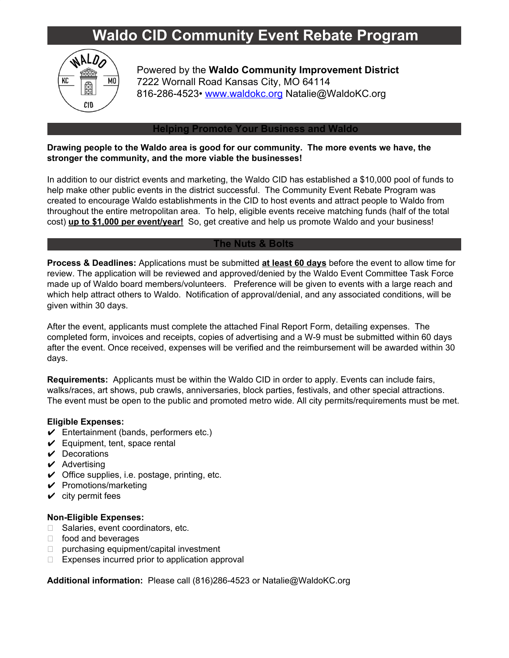# **Waldo CID Community Event Rebate Program**



Powered by the **Waldo Community Improvement District** 7222 Wornall Road Kansas City, MO 64114 816-286-4523• [www.waldokc.org](http://www.waldokc.org/) Natalie@WaldoKC.org

#### **Helping Promote Your Business and Waldo**

### **Drawing people to the Waldo area is good for our community. The more events we have, the stronger the community, and the more viable the businesses!**

In addition to our district events and marketing, the Waldo CID has established a \$10,000 pool of funds to help make other public events in the district successful. The Community Event Rebate Program was created to encourage Waldo establishments in the CID to host events and attract people to Waldo from throughout the entire metropolitan area. To help, eligible events receive matching funds (half of the total cost) **up to \$1,000 per event/year!** So, get creative and help us promote Waldo and your business!

#### **The Nuts & Bolts**

**Process & Deadlines:** Applications must be submitted **at least 60 days** before the event to allow time for review. The application will be reviewed and approved/denied by the Waldo Event Committee Task Force made up of Waldo board members/volunteers. Preference will be given to events with a large reach and which help attract others to Waldo. Notification of approval/denial, and any associated conditions, will be given within 30 days.

After the event, applicants must complete the attached Final Report Form, detailing expenses. The completed form, invoices and receipts, copies of advertising and a W-9 must be submitted within 60 days after the event. Once received, expenses will be verified and the reimbursement will be awarded within 30 days.

**Requirements:** Applicants must be within the Waldo CID in order to apply. Events can include fairs, walks/races, art shows, pub crawls, anniversaries, block parties, festivals, and other special attractions. The event must be open to the public and promoted metro wide. All city permits/requirements must be met.

#### **Eligible Expenses:**

- $\checkmark$  Entertainment (bands, performers etc.)
- $\checkmark$  Equipment, tent, space rental
- $\vee$  Decorations
- $\boldsymbol{\nu}$  Advertising
- $\checkmark$  Office supplies, i.e. postage, printing, etc.
- $\checkmark$  Promotions/marketing
- $\checkmark$  city permit fees

#### **Non-Eligible Expenses:**

- □ Salaries, event coordinators, etc.
- $\Box$  food and beverages
- $\Box$  purchasing equipment/capital investment
- $\Box$  Expenses incurred prior to application approval

**Additional information:** Please call (816)286-4523 or Natalie@WaldoKC.org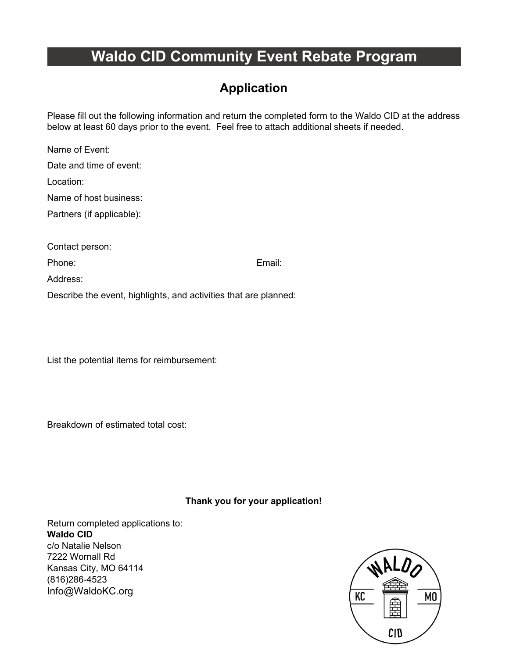# **Waldo CID Community Event Rebate Program**

### **Application**

Please fill out the following information and return the completed form to the Waldo CID at the address below at least 60 days prior to the event. Feel free to attach additional sheets if needed.

Name of Event: Date and time of event: Location: Name of host business: Partners (if applicable): Contact person: Phone: Email: Address: Describe the event, highlights, and activities that are planned:

List the potential items for reimbursement:

Breakdown of estimated total cost:

**Thank you for your application!**

Return completed applications to: **Waldo CID** c/o Natalie Nelson 7222 Wornall Rd Kansas City, MO 64114 (816)286-4523 Info@WaldoKC.org

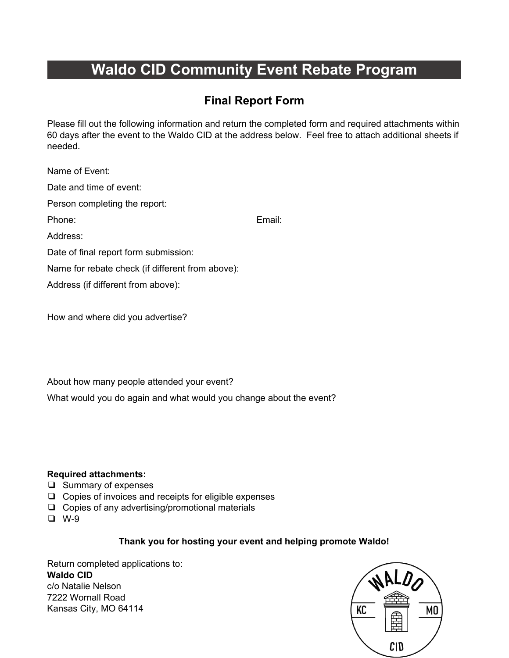# **Waldo CID Community Event Rebate Program**

### **Final Report Form**

Please fill out the following information and return the completed form and required attachments within 60 days after the event to the Waldo CID at the address below. Feel free to attach additional sheets if needed.

| Name of Event:                                   |        |
|--------------------------------------------------|--------|
| Date and time of event:                          |        |
| Person completing the report:                    |        |
| Phone:                                           | Email: |
| Address:                                         |        |
| Date of final report form submission:            |        |
| Name for rebate check (if different from above): |        |
| Address (if different from above):               |        |
|                                                  |        |

How and where did you advertise?

About how many people attended your event?

What would you do again and what would you change about the event?

### **Required attachments:**

- ❑ Summary of expenses
- ❑ Copies of invoices and receipts for eligible expenses
- ❑ Copies of any advertising/promotional materials
- ❑ W-9

### **Thank you for hosting your event and helping promote Waldo!**

Return completed applications to: **Waldo CID** c/o Natalie Nelson 7222 Wornall Road Kansas City, MO 64114